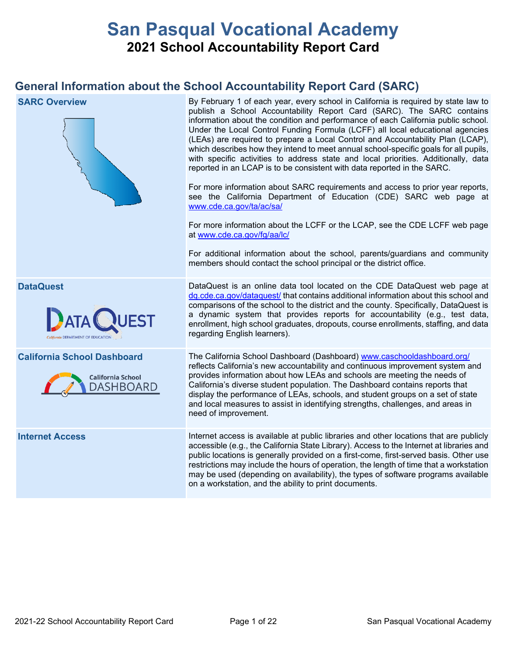# **San Pasqual Vocational Academy 2021 School Accountability Report Card**

## **General Information about the School Accountability Report Card (SARC)**

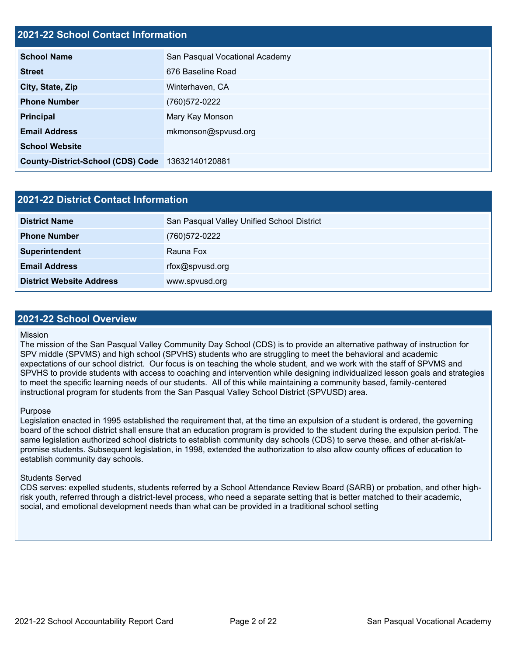### **2021-22 School Contact Information**

| AVAT AA OCHOOL OOHIGOL IIIIOHIIGHOIL     |                                |  |  |
|------------------------------------------|--------------------------------|--|--|
| <b>School Name</b>                       | San Pasqual Vocational Academy |  |  |
| <b>Street</b>                            | 676 Baseline Road              |  |  |
| City, State, Zip                         | Winterhaven, CA                |  |  |
| <b>Phone Number</b>                      | (760) 572-0222                 |  |  |
| <b>Principal</b>                         | Mary Kay Monson                |  |  |
| <b>Email Address</b>                     | mkmonson@spvusd.org            |  |  |
| <b>School Website</b>                    |                                |  |  |
| <b>County-District-School (CDS) Code</b> | 13632140120881                 |  |  |

| 2021-22 District Contact Information |                                            |  |  |
|--------------------------------------|--------------------------------------------|--|--|
| <b>District Name</b>                 | San Pasqual Valley Unified School District |  |  |
| <b>Phone Number</b>                  | (760) 572-0222                             |  |  |
| Superintendent                       | Rauna Fox                                  |  |  |
| <b>Email Address</b>                 | rfox@spvusd.org                            |  |  |
| <b>District Website Address</b>      | www.spvusd.org                             |  |  |

#### **2021-22 School Overview**

#### Mission

The mission of the San Pasqual Valley Community Day School (CDS) is to provide an alternative pathway of instruction for SPV middle (SPVMS) and high school (SPVHS) students who are struggling to meet the behavioral and academic expectations of our school district. Our focus is on teaching the whole student, and we work with the staff of SPVMS and SPVHS to provide students with access to coaching and intervention while designing individualized lesson goals and strategies to meet the specific learning needs of our students. All of this while maintaining a community based, family-centered instructional program for students from the San Pasqual Valley School District (SPVUSD) area.

#### Purpose

Legislation enacted in 1995 established the requirement that, at the time an expulsion of a student is ordered, the governing board of the school district shall ensure that an education program is provided to the student during the expulsion period. The same legislation authorized school districts to establish community day schools (CDS) to serve these, and other at-risk/atpromise students. Subsequent legislation, in 1998, extended the authorization to also allow county offices of education to establish community day schools.

#### Students Served

CDS serves: expelled students, students referred by a School Attendance Review Board (SARB) or probation, and other highrisk youth, referred through a district-level process, who need a separate setting that is better matched to their academic, social, and emotional development needs than what can be provided in a traditional school setting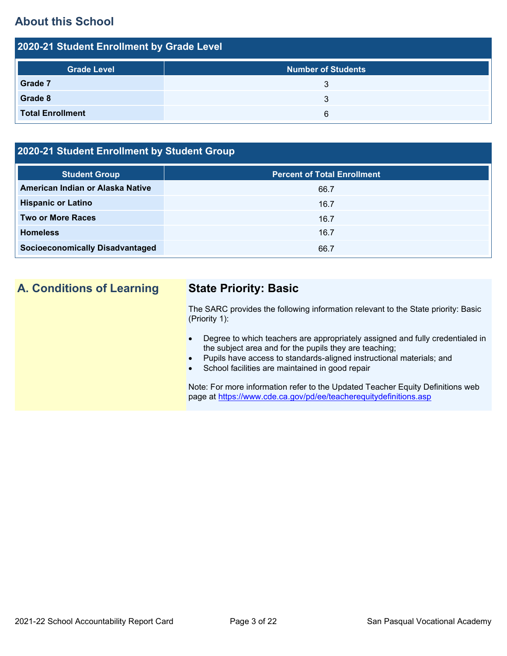## **About this School**

| 2020-21 Student Enrollment by Grade Level |                           |  |  |  |
|-------------------------------------------|---------------------------|--|--|--|
| <b>Grade Level</b>                        | <b>Number of Students</b> |  |  |  |
| <b>Grade 7</b>                            | 3                         |  |  |  |
| Grade 8                                   | 3                         |  |  |  |
| <b>Total Enrollment</b>                   | 6                         |  |  |  |

### **2020-21 Student Enrollment by Student Group**

| <b>Student Group</b>                   | <b>Percent of Total Enrollment</b> |
|----------------------------------------|------------------------------------|
| American Indian or Alaska Native       | 66.7                               |
| <b>Hispanic or Latino</b>              | 16.7                               |
| <b>Two or More Races</b>               | 16.7                               |
| <b>Homeless</b>                        | 16.7                               |
| <b>Socioeconomically Disadvantaged</b> | 66.7                               |

## **A. Conditions of Learning State Priority: Basic**

The SARC provides the following information relevant to the State priority: Basic (Priority 1):

- Degree to which teachers are appropriately assigned and fully credentialed in the subject area and for the pupils they are teaching;
- Pupils have access to standards-aligned instructional materials; and
- School facilities are maintained in good repair

Note: For more information refer to the Updated Teacher Equity Definitions web page at<https://www.cde.ca.gov/pd/ee/teacherequitydefinitions.asp>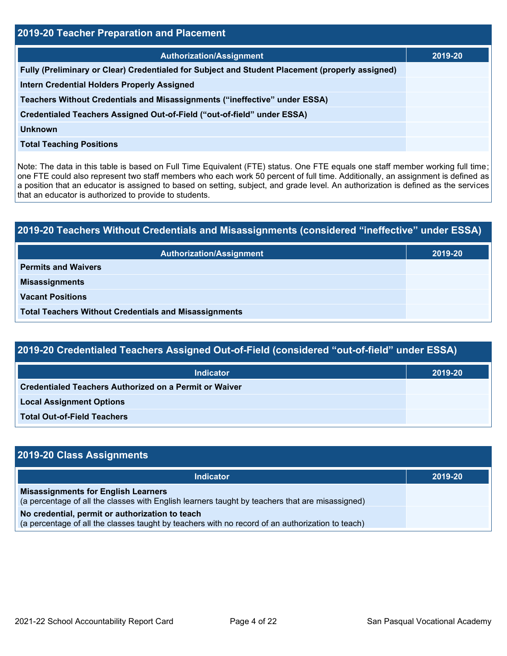| <b>2019-20 Teacher Preparation and Placement</b>                                                |         |  |  |  |
|-------------------------------------------------------------------------------------------------|---------|--|--|--|
| <b>Authorization/Assignment</b>                                                                 | 2019-20 |  |  |  |
| Fully (Preliminary or Clear) Credentialed for Subject and Student Placement (properly assigned) |         |  |  |  |
| <b>Intern Credential Holders Properly Assigned</b>                                              |         |  |  |  |
| Teachers Without Credentials and Misassignments ("ineffective" under ESSA)                      |         |  |  |  |
| Credentialed Teachers Assigned Out-of-Field ("out-of-field" under ESSA)                         |         |  |  |  |
| <b>Unknown</b>                                                                                  |         |  |  |  |
| <b>Total Teaching Positions</b>                                                                 |         |  |  |  |

Note: The data in this table is based on Full Time Equivalent (FTE) status. One FTE equals one staff member working full time; one FTE could also represent two staff members who each work 50 percent of full time. Additionally, an assignment is defined as a position that an educator is assigned to based on setting, subject, and grade level. An authorization is defined as the services that an educator is authorized to provide to students.

## **2019-20 Teachers Without Credentials and Misassignments (considered "ineffective" under ESSA) Authorization/Assignment 2019-20 Permits and Waivers Misassignments Vacant Positions Total Teachers Without Credentials and Misassignments**

| 2019-20 Credentialed Teachers Assigned Out-of-Field (considered "out-of-field" under ESSA) |         |  |  |  |
|--------------------------------------------------------------------------------------------|---------|--|--|--|
| <b>Indicator</b>                                                                           | 2019-20 |  |  |  |
| Credentialed Teachers Authorized on a Permit or Waiver                                     |         |  |  |  |
| <b>Local Assignment Options</b>                                                            |         |  |  |  |
| <b>Total Out-of-Field Teachers</b>                                                         |         |  |  |  |

| 2019-20 Class Assignments                                                                                                                           |         |
|-----------------------------------------------------------------------------------------------------------------------------------------------------|---------|
| <b>Indicator</b>                                                                                                                                    | 2019-20 |
| <b>Misassignments for English Learners</b><br>(a percentage of all the classes with English learners taught by teachers that are misassigned)       |         |
| No credential, permit or authorization to teach<br>(a percentage of all the classes taught by teachers with no record of an authorization to teach) |         |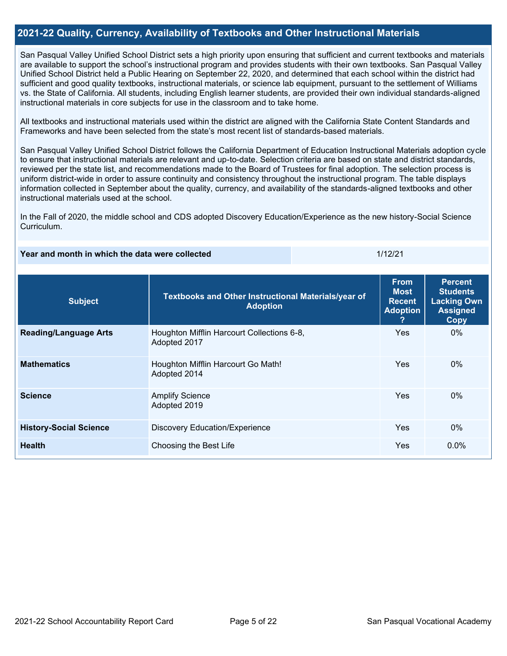#### **2021-22 Quality, Currency, Availability of Textbooks and Other Instructional Materials**

San Pasqual Valley Unified School District sets a high priority upon ensuring that sufficient and current textbooks and materials are available to support the school's instructional program and provides students with their own textbooks. San Pasqual Valley Unified School District held a Public Hearing on September 22, 2020, and determined that each school within the district had sufficient and good quality textbooks, instructional materials, or science lab equipment, pursuant to the settlement of Williams vs. the State of California. All students, including English learner students, are provided their own individual standards-aligned instructional materials in core subjects for use in the classroom and to take home.

All textbooks and instructional materials used within the district are aligned with the California State Content Standards and Frameworks and have been selected from the state's most recent list of standards-based materials.

San Pasqual Valley Unified School District follows the California Department of Education Instructional Materials adoption cycle to ensure that instructional materials are relevant and up-to-date. Selection criteria are based on state and district standards, reviewed per the state list, and recommendations made to the Board of Trustees for final adoption. The selection process is uniform district-wide in order to assure continuity and consistency throughout the instructional program. The table displays information collected in September about the quality, currency, and availability of the standards-aligned textbooks and other instructional materials used at the school.

In the Fall of 2020, the middle school and CDS adopted Discovery Education/Experience as the new history-Social Science Curriculum.

| Year and month in which the data were collected | 1/12/21 |
|-------------------------------------------------|---------|
|                                                 |         |

| <b>Subject</b>                | Textbooks and Other Instructional Materials/year of<br><b>Adoption</b> | <b>From</b><br><b>Most</b><br><b>Recent</b><br><b>Adoption</b> | <b>Percent</b><br><b>Students</b><br><b>Lacking Own</b><br><b>Assigned</b><br>Copy |
|-------------------------------|------------------------------------------------------------------------|----------------------------------------------------------------|------------------------------------------------------------------------------------|
| <b>Reading/Language Arts</b>  | Houghton Mifflin Harcourt Collections 6-8,<br>Adopted 2017             | <b>Yes</b>                                                     | $0\%$                                                                              |
| <b>Mathematics</b>            | Houghton Mifflin Harcourt Go Math!<br>Adopted 2014                     | <b>Yes</b>                                                     | $0\%$                                                                              |
| <b>Science</b>                | <b>Amplify Science</b><br>Adopted 2019                                 | Yes                                                            | $0\%$                                                                              |
| <b>History-Social Science</b> | <b>Discovery Education/Experience</b>                                  | <b>Yes</b>                                                     | $0\%$                                                                              |
| <b>Health</b>                 | Choosing the Best Life                                                 | <b>Yes</b>                                                     | $0.0\%$                                                                            |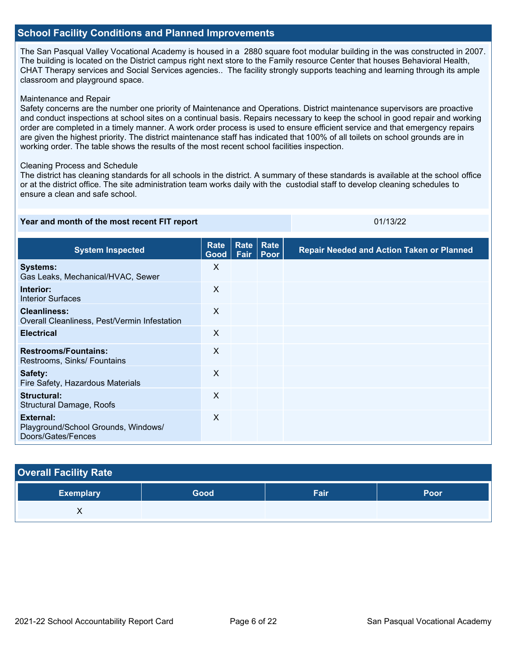#### **School Facility Conditions and Planned Improvements**

The San Pasqual Valley Vocational Academy is housed in a 2880 square foot modular building in the was constructed in 2007. The building is located on the District campus right next store to the Family resource Center that houses Behavioral Health, CHAT Therapy services and Social Services agencies.. The facility strongly supports teaching and learning through its ample classroom and playground space.

#### Maintenance and Repair

Safety concerns are the number one priority of Maintenance and Operations. District maintenance supervisors are proactive and conduct inspections at school sites on a continual basis. Repairs necessary to keep the school in good repair and working order are completed in a timely manner. A work order process is used to ensure efficient service and that emergency repairs are given the highest priority. The district maintenance staff has indicated that 100% of all toilets on school grounds are in working order. The table shows the results of the most recent school facilities inspection.

#### Cleaning Process and Schedule

The district has cleaning standards for all schools in the district. A summary of these standards is available at the school office or at the district office. The site administration team works daily with the custodial staff to develop cleaning schedules to ensure a clean and safe school.

**Year and month of the most recent FIT report** 01/13/22

| <b>System Inspected</b>                                                       | <b>Rate</b><br>Good | Rate<br>Fair | Rate<br>Poor | <b>Repair Needed and Action Taken or Planned</b> |
|-------------------------------------------------------------------------------|---------------------|--------------|--------------|--------------------------------------------------|
| <b>Systems:</b><br>Gas Leaks, Mechanical/HVAC, Sewer                          | X                   |              |              |                                                  |
| Interior:<br><b>Interior Surfaces</b>                                         | X                   |              |              |                                                  |
| <b>Cleanliness:</b><br>Overall Cleanliness, Pest/Vermin Infestation           | X                   |              |              |                                                  |
| <b>Electrical</b>                                                             | X                   |              |              |                                                  |
| <b>Restrooms/Fountains:</b><br>Restrooms, Sinks/ Fountains                    | $\times$            |              |              |                                                  |
| Safety:<br>Fire Safety, Hazardous Materials                                   | X                   |              |              |                                                  |
| <b>Structural:</b><br><b>Structural Damage, Roofs</b>                         | X                   |              |              |                                                  |
| <b>External:</b><br>Playground/School Grounds, Windows/<br>Doors/Gates/Fences | X                   |              |              |                                                  |

| <b>Overall Facility Rate</b> |      |      |      |
|------------------------------|------|------|------|
| <b>Exemplary</b>             | Good | Fair | Poor |
|                              |      |      |      |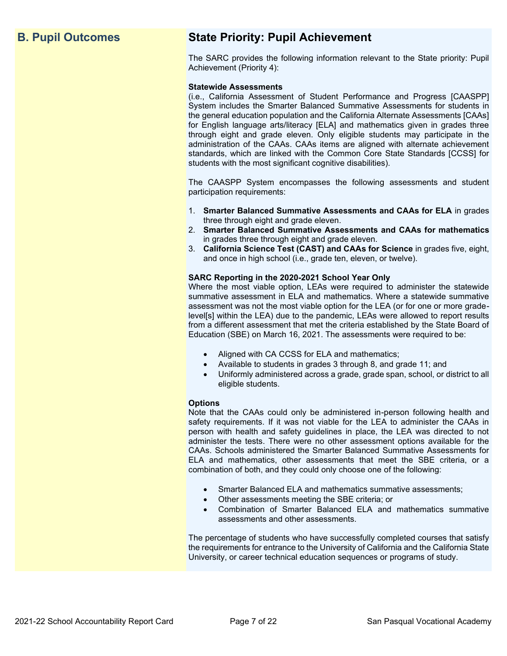## **B. Pupil Outcomes State Priority: Pupil Achievement**

The SARC provides the following information relevant to the State priority: Pupil Achievement (Priority 4):

#### **Statewide Assessments**

(i.e., California Assessment of Student Performance and Progress [CAASPP] System includes the Smarter Balanced Summative Assessments for students in the general education population and the California Alternate Assessments [CAAs] for English language arts/literacy [ELA] and mathematics given in grades three through eight and grade eleven. Only eligible students may participate in the administration of the CAAs. CAAs items are aligned with alternate achievement standards, which are linked with the Common Core State Standards [CCSS] for students with the most significant cognitive disabilities).

The CAASPP System encompasses the following assessments and student participation requirements:

- 1. **Smarter Balanced Summative Assessments and CAAs for ELA** in grades three through eight and grade eleven.
- 2. **Smarter Balanced Summative Assessments and CAAs for mathematics** in grades three through eight and grade eleven.
- 3. **California Science Test (CAST) and CAAs for Science** in grades five, eight, and once in high school (i.e., grade ten, eleven, or twelve).

#### **SARC Reporting in the 2020-2021 School Year Only**

Where the most viable option, LEAs were required to administer the statewide summative assessment in ELA and mathematics. Where a statewide summative assessment was not the most viable option for the LEA (or for one or more gradelevel[s] within the LEA) due to the pandemic, LEAs were allowed to report results from a different assessment that met the criteria established by the State Board of Education (SBE) on March 16, 2021. The assessments were required to be:

- Aligned with CA CCSS for ELA and mathematics;
- Available to students in grades 3 through 8, and grade 11; and
- Uniformly administered across a grade, grade span, school, or district to all eligible students.

#### **Options**

Note that the CAAs could only be administered in-person following health and safety requirements. If it was not viable for the LEA to administer the CAAs in person with health and safety guidelines in place, the LEA was directed to not administer the tests. There were no other assessment options available for the CAAs. Schools administered the Smarter Balanced Summative Assessments for ELA and mathematics, other assessments that meet the SBE criteria, or a combination of both, and they could only choose one of the following:

- Smarter Balanced ELA and mathematics summative assessments;
- Other assessments meeting the SBE criteria; or
- Combination of Smarter Balanced ELA and mathematics summative assessments and other assessments.

The percentage of students who have successfully completed courses that satisfy the requirements for entrance to the University of California and the California State University, or career technical education sequences or programs of study.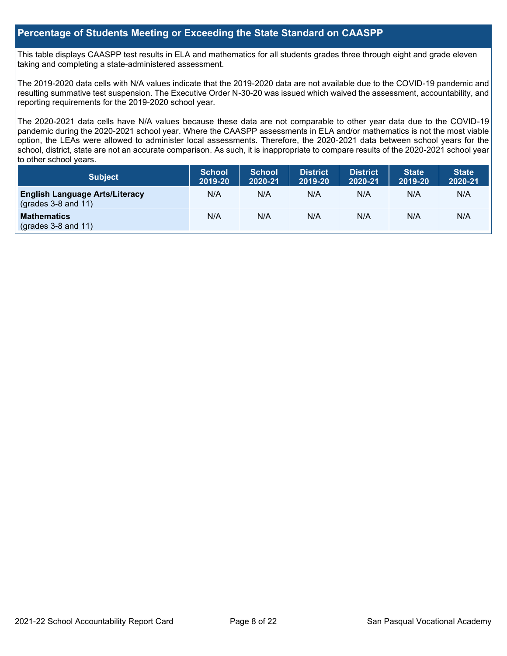#### **Percentage of Students Meeting or Exceeding the State Standard on CAASPP**

This table displays CAASPP test results in ELA and mathematics for all students grades three through eight and grade eleven taking and completing a state-administered assessment.

The 2019-2020 data cells with N/A values indicate that the 2019-2020 data are not available due to the COVID-19 pandemic and resulting summative test suspension. The Executive Order N-30-20 was issued which waived the assessment, accountability, and reporting requirements for the 2019-2020 school year.

The 2020-2021 data cells have N/A values because these data are not comparable to other year data due to the COVID-19 pandemic during the 2020-2021 school year. Where the CAASPP assessments in ELA and/or mathematics is not the most viable option, the LEAs were allowed to administer local assessments. Therefore, the 2020-2021 data between school years for the school, district, state are not an accurate comparison. As such, it is inappropriate to compare results of the 2020-2021 school year to other school years.

| <b>Subject</b>                                                 | <b>School</b><br>2019-20 | <b>School</b><br>2020-21 | District<br>2019-20 | <b>District</b><br>2020-21 | <b>State</b><br>2019-20 | <b>State</b><br>2020-21 |
|----------------------------------------------------------------|--------------------------|--------------------------|---------------------|----------------------------|-------------------------|-------------------------|
| <b>English Language Arts/Literacy</b><br>$(grades 3-8 and 11)$ | N/A                      | N/A                      | N/A                 | N/A                        | N/A                     | N/A                     |
| <b>Mathematics</b><br>$(grades 3-8 and 11)$                    | N/A                      | N/A                      | N/A                 | N/A                        | N/A                     | N/A                     |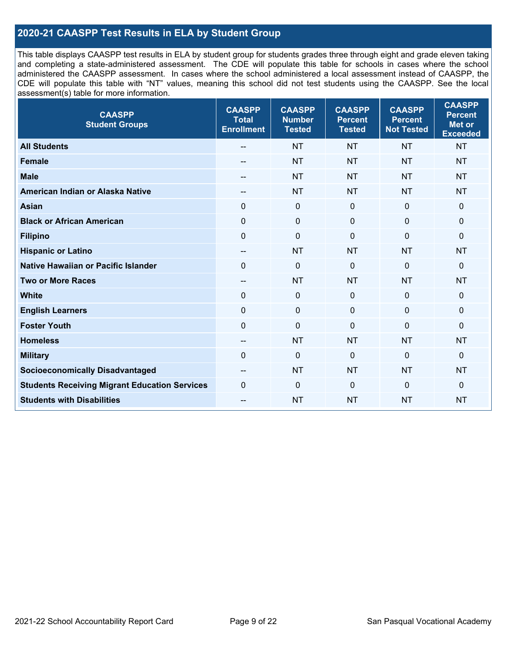### **2020-21 CAASPP Test Results in ELA by Student Group**

This table displays CAASPP test results in ELA by student group for students grades three through eight and grade eleven taking and completing a state-administered assessment. The CDE will populate this table for schools in cases where the school administered the CAASPP assessment. In cases where the school administered a local assessment instead of CAASPP, the CDE will populate this table with "NT" values, meaning this school did not test students using the CAASPP. See the local assessment(s) table for more information.

| <b>CAASPP</b><br><b>Student Groups</b>               | <b>CAASPP</b><br><b>Total</b><br><b>Enrollment</b> | <b>CAASPP</b><br><b>Number</b><br><b>Tested</b> | <b>CAASPP</b><br><b>Percent</b><br><b>Tested</b> | <b>CAASPP</b><br><b>Percent</b><br><b>Not Tested</b> | <b>CAASPP</b><br><b>Percent</b><br><b>Met or</b><br><b>Exceeded</b> |
|------------------------------------------------------|----------------------------------------------------|-------------------------------------------------|--------------------------------------------------|------------------------------------------------------|---------------------------------------------------------------------|
| <b>All Students</b>                                  | $\overline{a}$                                     | <b>NT</b>                                       | <b>NT</b>                                        | <b>NT</b>                                            | <b>NT</b>                                                           |
| <b>Female</b>                                        |                                                    | <b>NT</b>                                       | <b>NT</b>                                        | <b>NT</b>                                            | <b>NT</b>                                                           |
| <b>Male</b>                                          | $-$                                                | <b>NT</b>                                       | <b>NT</b>                                        | <b>NT</b>                                            | <b>NT</b>                                                           |
| American Indian or Alaska Native                     | --                                                 | <b>NT</b>                                       | <b>NT</b>                                        | <b>NT</b>                                            | <b>NT</b>                                                           |
| <b>Asian</b>                                         | $\mathbf{0}$                                       | $\mathbf 0$                                     | $\mathbf{0}$                                     | $\mathbf 0$                                          | 0                                                                   |
| <b>Black or African American</b>                     | $\mathbf{0}$                                       | $\mathbf 0$                                     | $\mathbf{0}$                                     | $\mathbf 0$                                          | 0                                                                   |
| <b>Filipino</b>                                      | $\mathbf 0$                                        | $\mathbf 0$                                     | $\mathbf{0}$                                     | $\overline{0}$                                       | 0                                                                   |
| <b>Hispanic or Latino</b>                            | $\overline{\phantom{a}}$                           | <b>NT</b>                                       | <b>NT</b>                                        | <b>NT</b>                                            | <b>NT</b>                                                           |
| <b>Native Hawaiian or Pacific Islander</b>           | $\Omega$                                           | $\boldsymbol{0}$                                | $\mathbf 0$                                      | $\mathbf 0$                                          | 0                                                                   |
| <b>Two or More Races</b>                             | --                                                 | <b>NT</b>                                       | <b>NT</b>                                        | <b>NT</b>                                            | <b>NT</b>                                                           |
| <b>White</b>                                         | $\mathbf 0$                                        | $\mathbf 0$                                     | $\mathbf{0}$                                     | $\mathbf 0$                                          | 0                                                                   |
| <b>English Learners</b>                              | $\mathbf 0$                                        | $\mathbf 0$                                     | $\mathbf{0}$                                     | $\mathbf 0$                                          | 0                                                                   |
| <b>Foster Youth</b>                                  | $\mathbf 0$                                        | $\mathbf 0$                                     | $\mathbf{0}$                                     | $\mathbf{0}$                                         | $\mathbf{0}$                                                        |
| <b>Homeless</b>                                      | --                                                 | <b>NT</b>                                       | <b>NT</b>                                        | <b>NT</b>                                            | <b>NT</b>                                                           |
| <b>Military</b>                                      | 0                                                  | $\pmb{0}$                                       | $\mathbf 0$                                      | $\mathbf 0$                                          | 0                                                                   |
| <b>Socioeconomically Disadvantaged</b>               | --                                                 | <b>NT</b>                                       | <b>NT</b>                                        | <b>NT</b>                                            | <b>NT</b>                                                           |
| <b>Students Receiving Migrant Education Services</b> | 0                                                  | $\mathbf 0$                                     | $\mathbf 0$                                      | $\overline{0}$                                       | 0                                                                   |
| <b>Students with Disabilities</b>                    | $\overline{a}$                                     | <b>NT</b>                                       | <b>NT</b>                                        | <b>NT</b>                                            | <b>NT</b>                                                           |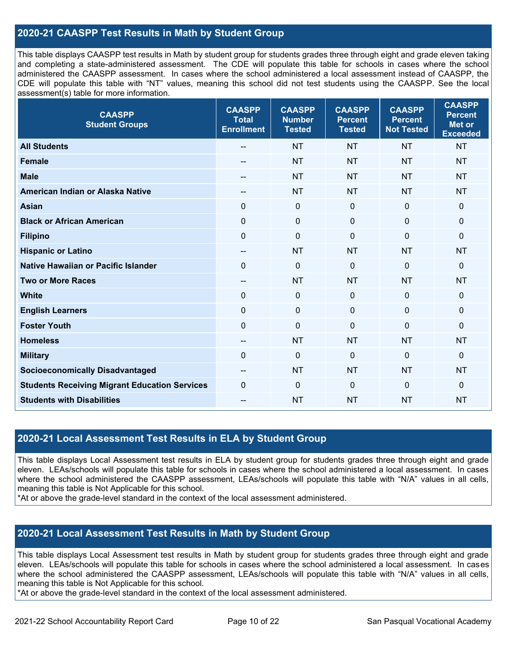#### **2020-21 CAASPP Test Results in Math by Student Group**

This table displays CAASPP test results in Math by student group for students grades three through eight and grade eleven taking and completing a state-administered assessment. The CDE will populate this table for schools in cases where the school administered the CAASPP assessment. In cases where the school administered a local assessment instead of CAASPP, the CDE will populate this table with "NT" values, meaning this school did not test students using the CAASPP. See the local assessment(s) table for more information.

| <b>CAASPP</b><br><b>Student Groups</b>               | <b>CAASPP</b><br><b>Total</b><br><b>Enrollment</b> | <b>CAASPP</b><br><b>Number</b><br><b>Tested</b> | <b>CAASPP</b><br><b>Percent</b><br><b>Tested</b> | <b>CAASPP</b><br><b>Percent</b><br><b>Not Tested</b> | <b>CAASPP</b><br><b>Percent</b><br><b>Met or</b><br><b>Exceeded</b> |
|------------------------------------------------------|----------------------------------------------------|-------------------------------------------------|--------------------------------------------------|------------------------------------------------------|---------------------------------------------------------------------|
| <b>All Students</b>                                  | --                                                 | <b>NT</b>                                       | <b>NT</b>                                        | <b>NT</b>                                            | <b>NT</b>                                                           |
| <b>Female</b>                                        |                                                    | <b>NT</b>                                       | <b>NT</b>                                        | <b>NT</b>                                            | <b>NT</b>                                                           |
| <b>Male</b>                                          | --                                                 | <b>NT</b>                                       | <b>NT</b>                                        | <b>NT</b>                                            | <b>NT</b>                                                           |
| American Indian or Alaska Native                     | --                                                 | <b>NT</b>                                       | <b>NT</b>                                        | <b>NT</b>                                            | <b>NT</b>                                                           |
| <b>Asian</b>                                         | $\mathbf 0$                                        | $\boldsymbol{0}$                                | $\mathbf 0$                                      | $\mathbf 0$                                          | 0                                                                   |
| <b>Black or African American</b>                     | $\mathbf 0$                                        | $\mathbf 0$                                     | $\mathbf{0}$                                     | $\mathbf 0$                                          | 0                                                                   |
| <b>Filipino</b>                                      | $\overline{0}$                                     | $\mathbf 0$                                     | $\mathbf{0}$                                     | $\overline{0}$                                       | $\mathbf 0$                                                         |
| <b>Hispanic or Latino</b>                            | $-$                                                | <b>NT</b>                                       | <b>NT</b>                                        | <b>NT</b>                                            | <b>NT</b>                                                           |
| <b>Native Hawaiian or Pacific Islander</b>           | $\Omega$                                           | $\mathbf 0$                                     | $\mathbf 0$                                      | $\mathbf 0$                                          | 0                                                                   |
| <b>Two or More Races</b>                             | $-$                                                | <b>NT</b>                                       | <b>NT</b>                                        | <b>NT</b>                                            | <b>NT</b>                                                           |
| <b>White</b>                                         | $\mathbf 0$                                        | $\mathbf 0$                                     | $\mathbf{0}$                                     | $\mathbf 0$                                          | 0                                                                   |
| <b>English Learners</b>                              | $\overline{0}$                                     | $\mathbf 0$                                     | $\mathbf 0$                                      | $\overline{0}$                                       | $\mathbf 0$                                                         |
| <b>Foster Youth</b>                                  | $\Omega$                                           | $\mathbf{0}$                                    | $\mathbf{0}$                                     | $\Omega$                                             | $\mathbf{0}$                                                        |
| <b>Homeless</b>                                      | --                                                 | <b>NT</b>                                       | <b>NT</b>                                        | <b>NT</b>                                            | <b>NT</b>                                                           |
| <b>Military</b>                                      | 0                                                  | $\pmb{0}$                                       | $\mathbf 0$                                      | $\overline{0}$                                       | 0                                                                   |
| <b>Socioeconomically Disadvantaged</b>               | --                                                 | <b>NT</b>                                       | <b>NT</b>                                        | <b>NT</b>                                            | <b>NT</b>                                                           |
| <b>Students Receiving Migrant Education Services</b> | $\Omega$                                           | $\mathbf 0$                                     | $\mathbf 0$                                      | $\mathbf 0$                                          | $\mathbf{0}$                                                        |
| <b>Students with Disabilities</b>                    |                                                    | <b>NT</b>                                       | <b>NT</b>                                        | <b>NT</b>                                            | <b>NT</b>                                                           |

#### **2020-21 Local Assessment Test Results in ELA by Student Group**

This table displays Local Assessment test results in ELA by student group for students grades three through eight and grade eleven. LEAs/schools will populate this table for schools in cases where the school administered a local assessment. In cases where the school administered the CAASPP assessment, LEAs/schools will populate this table with "N/A" values in all cells, meaning this table is Not Applicable for this school.

\*At or above the grade-level standard in the context of the local assessment administered.

#### **2020-21 Local Assessment Test Results in Math by Student Group**

This table displays Local Assessment test results in Math by student group for students grades three through eight and grade eleven. LEAs/schools will populate this table for schools in cases where the school administered a local assessment. In cases where the school administered the CAASPP assessment, LEAs/schools will populate this table with "N/A" values in all cells, meaning this table is Not Applicable for this school.

\*At or above the grade-level standard in the context of the local assessment administered.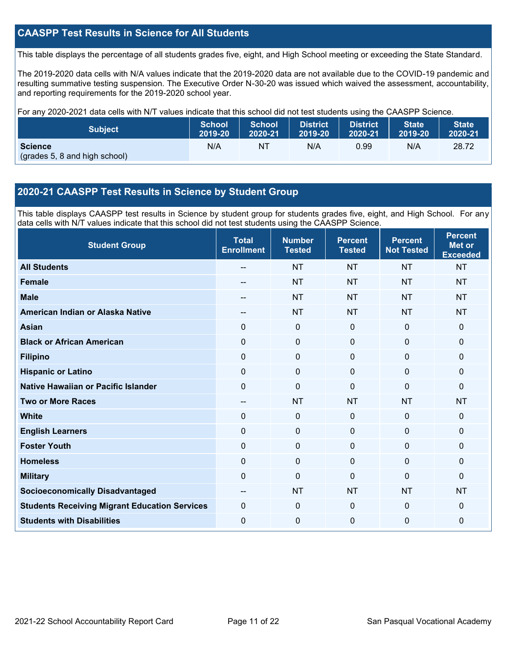#### **CAASPP Test Results in Science for All Students**

This table displays the percentage of all students grades five, eight, and High School meeting or exceeding the State Standard.

The 2019-2020 data cells with N/A values indicate that the 2019-2020 data are not available due to the COVID-19 pandemic and resulting summative testing suspension. The Executive Order N-30-20 was issued which waived the assessment, accountability, and reporting requirements for the 2019-2020 school year.

For any 2020-2021 data cells with N/T values indicate that this school did not test students using the CAASPP Science.

| <b>Subject</b>                                  | <b>School</b> | <b>School</b> | <b>District</b> | District. | <b>State</b> | <b>State</b> |
|-------------------------------------------------|---------------|---------------|-----------------|-----------|--------------|--------------|
|                                                 | 2019-20       | 2020-21       | 2019-20         | 2020-21   | 2019-20      | 2020-21      |
| <b>Science</b><br>(grades 5, 8 and high school) | N/A           | NT            | N/A             | 0.99      | N/A          | 28.72        |

#### **2020-21 CAASPP Test Results in Science by Student Group**

This table displays CAASPP test results in Science by student group for students grades five, eight, and High School. For any data cells with N/T values indicate that this school did not test students using the CAASPP Science.

| <b>Student Group</b>                                 | <b>Total</b><br><b>Enrollment</b> | <b>Number</b><br><b>Tested</b> | <b>Percent</b><br><b>Tested</b> | <b>Percent</b><br><b>Not Tested</b> | <b>Percent</b><br><b>Met or</b><br><b>Exceeded</b> |
|------------------------------------------------------|-----------------------------------|--------------------------------|---------------------------------|-------------------------------------|----------------------------------------------------|
| <b>All Students</b>                                  |                                   | <b>NT</b>                      | <b>NT</b>                       | <b>NT</b>                           | <b>NT</b>                                          |
| <b>Female</b>                                        | --                                | <b>NT</b>                      | <b>NT</b>                       | <b>NT</b>                           | <b>NT</b>                                          |
| <b>Male</b>                                          | --                                | <b>NT</b>                      | <b>NT</b>                       | <b>NT</b>                           | <b>NT</b>                                          |
| American Indian or Alaska Native                     | $\sim$                            | <b>NT</b>                      | <b>NT</b>                       | <b>NT</b>                           | <b>NT</b>                                          |
| <b>Asian</b>                                         | $\Omega$                          | $\pmb{0}$                      | $\mathbf 0$                     | $\overline{0}$                      | $\mathbf 0$                                        |
| <b>Black or African American</b>                     | $\mathbf 0$                       | $\mathbf{0}$                   | $\mathbf 0$                     | $\mathbf 0$                         | $\mathbf 0$                                        |
| <b>Filipino</b>                                      | 0                                 | $\mathbf 0$                    | 0                               | $\Omega$                            | $\mathbf 0$                                        |
| <b>Hispanic or Latino</b>                            | $\Omega$                          | $\mathbf{0}$                   | $\Omega$                        | $\Omega$                            | $\mathbf 0$                                        |
| Native Hawaiian or Pacific Islander                  | $\mathbf 0$                       | $\mathbf 0$                    | $\mathbf{0}$                    | $\mathbf 0$                         | $\mathbf{0}$                                       |
| <b>Two or More Races</b>                             | $-$                               | <b>NT</b>                      | <b>NT</b>                       | <b>NT</b>                           | <b>NT</b>                                          |
| <b>White</b>                                         | 0                                 | $\mathbf 0$                    | $\mathbf 0$                     | 0                                   | $\mathbf 0$                                        |
| <b>English Learners</b>                              | 0                                 | $\mathbf{0}$                   | $\mathbf 0$                     | $\Omega$                            | $\mathbf 0$                                        |
| <b>Foster Youth</b>                                  | $\mathbf 0$                       | $\mathbf 0$                    | $\mathbf 0$                     | $\mathbf 0$                         | $\mathbf 0$                                        |
| <b>Homeless</b>                                      | $\mathbf 0$                       | $\mathbf{0}$                   | $\mathbf 0$                     | $\Omega$                            | $\mathbf 0$                                        |
| <b>Military</b>                                      | 0                                 | $\mathbf 0$                    | $\mathbf{0}$                    | $\Omega$                            | $\mathbf 0$                                        |
| <b>Socioeconomically Disadvantaged</b>               | --                                | <b>NT</b>                      | <b>NT</b>                       | NT                                  | <b>NT</b>                                          |
| <b>Students Receiving Migrant Education Services</b> | $\Omega$                          | 0                              | $\Omega$                        | $\Omega$                            | $\mathbf{0}$                                       |
| <b>Students with Disabilities</b>                    | $\mathbf 0$                       | 0                              | $\mathbf{0}$                    | 0                                   | $\mathbf{0}$                                       |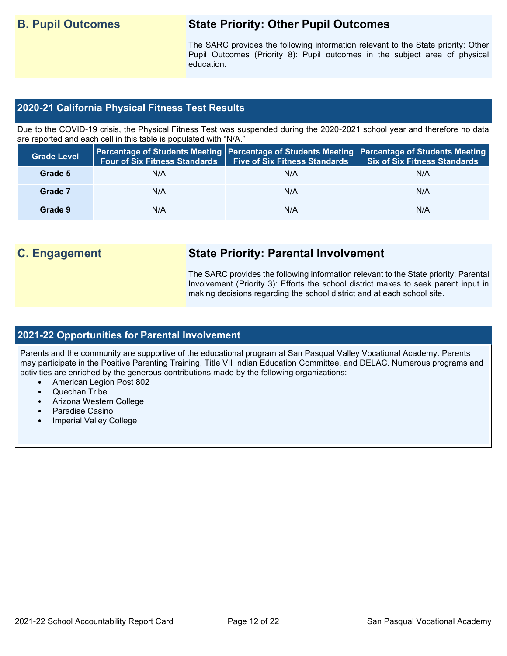## **B. Pupil Outcomes State Priority: Other Pupil Outcomes**

The SARC provides the following information relevant to the State priority: Other Pupil Outcomes (Priority 8): Pupil outcomes in the subject area of physical education.

#### **2020-21 California Physical Fitness Test Results**

Due to the COVID-19 crisis, the Physical Fitness Test was suspended during the 2020-2021 school year and therefore no data are reported and each cell in this table is populated with "N/A."

| <b>Grade Level</b> | <b>Four of Six Fitness Standards</b> | <b>Five of Six Fitness Standards</b> | Percentage of Students Meeting   Percentage of Students Meeting   Percentage of Students Meeting  <br><b>Six of Six Fitness Standards</b> |
|--------------------|--------------------------------------|--------------------------------------|-------------------------------------------------------------------------------------------------------------------------------------------|
| Grade 5            | N/A                                  | N/A                                  | N/A                                                                                                                                       |
| Grade 7            | N/A                                  | N/A                                  | N/A                                                                                                                                       |
| Grade 9            | N/A                                  | N/A                                  | N/A                                                                                                                                       |

## **C. Engagement State Priority: Parental Involvement**

The SARC provides the following information relevant to the State priority: Parental Involvement (Priority 3): Efforts the school district makes to seek parent input in making decisions regarding the school district and at each school site.

#### **2021-22 Opportunities for Parental Involvement**

Parents and the community are supportive of the educational program at San Pasqual Valley Vocational Academy. Parents may participate in the Positive Parenting Training, Title VII Indian Education Committee, and DELAC. Numerous programs and activities are enriched by the generous contributions made by the following organizations:

- American Legion Post 802
- Quechan Tribe
- Arizona Western College
- Paradise Casino
- Imperial Valley College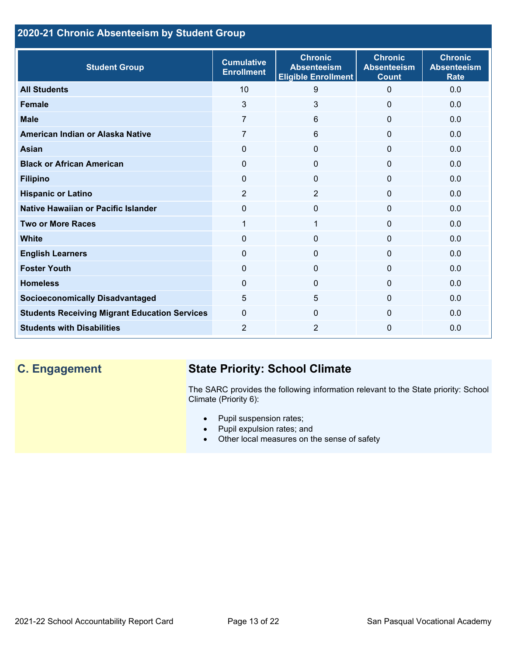## **2020-21 Chronic Absenteeism by Student Group**

| <b>Student Group</b>                                 | <b>Cumulative</b><br><b>Enrollment</b> | <b>Chronic</b><br><b>Absenteeism</b><br><b>Eligible Enrollment</b> | <b>Chronic</b><br><b>Absenteeism</b><br><b>Count</b> | <b>Chronic</b><br><b>Absenteeism</b><br><b>Rate</b> |
|------------------------------------------------------|----------------------------------------|--------------------------------------------------------------------|------------------------------------------------------|-----------------------------------------------------|
| <b>All Students</b>                                  | 10                                     | 9                                                                  | $\overline{0}$                                       | 0.0                                                 |
| <b>Female</b>                                        | 3                                      | 3                                                                  | $\Omega$                                             | 0.0                                                 |
| <b>Male</b>                                          | 7                                      | 6                                                                  | $\mathbf{0}$                                         | 0.0                                                 |
| American Indian or Alaska Native                     | 7                                      | 6                                                                  | $\Omega$                                             | 0.0                                                 |
| <b>Asian</b>                                         | 0                                      | $\mathbf{0}$                                                       | $\mathbf 0$                                          | 0.0                                                 |
| <b>Black or African American</b>                     | $\mathbf{0}$                           | $\mathbf{0}$                                                       | $\mathbf{0}$                                         | 0.0                                                 |
| <b>Filipino</b>                                      | $\mathbf 0$                            | $\Omega$                                                           | $\mathbf 0$                                          | 0.0                                                 |
| <b>Hispanic or Latino</b>                            | $\overline{2}$                         | $\overline{2}$                                                     | $\mathbf 0$                                          | 0.0                                                 |
| <b>Native Hawaiian or Pacific Islander</b>           | $\Omega$                               | $\Omega$                                                           | $\mathbf{0}$                                         | 0.0                                                 |
| <b>Two or More Races</b>                             | 1                                      | 1                                                                  | $\mathbf 0$                                          | 0.0                                                 |
| <b>White</b>                                         | 0                                      | 0                                                                  | $\Omega$                                             | 0.0                                                 |
| <b>English Learners</b>                              | $\Omega$                               | 0                                                                  | $\Omega$                                             | 0.0                                                 |
| <b>Foster Youth</b>                                  | $\Omega$                               | 0                                                                  | $\Omega$                                             | 0.0                                                 |
| <b>Homeless</b>                                      | $\mathbf{0}$                           | $\Omega$                                                           | $\Omega$                                             | 0.0                                                 |
| <b>Socioeconomically Disadvantaged</b>               | 5                                      | 5                                                                  | $\Omega$                                             | 0.0                                                 |
| <b>Students Receiving Migrant Education Services</b> | $\mathbf 0$                            | $\Omega$                                                           | $\Omega$                                             | 0.0                                                 |
| <b>Students with Disabilities</b>                    | 2                                      | $\overline{2}$                                                     | $\Omega$                                             | 0.0                                                 |

## **C. Engagement State Priority: School Climate**

The SARC provides the following information relevant to the State priority: School Climate (Priority 6):

- Pupil suspension rates;
- Pupil expulsion rates; and
- Other local measures on the sense of safety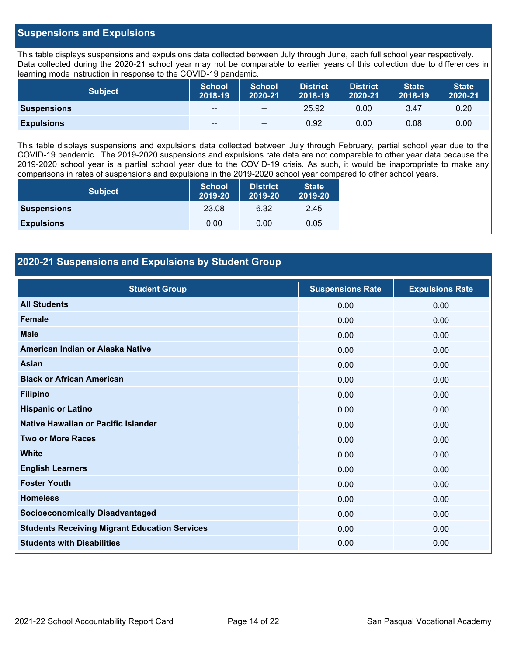#### **Suspensions and Expulsions**

This table displays suspensions and expulsions data collected between July through June, each full school year respectively. Data collected during the 2020-21 school year may not be comparable to earlier years of this collection due to differences in learning mode instruction in response to the COVID-19 pandemic.

| <b>Subject</b>     | <b>School</b><br>2018-19 | <b>School</b><br>2020-21 | <b>District</b><br>2018-19 | <b>District</b><br>2020-21 | <b>State</b><br>2018-19 | <b>State</b><br>2020-21 |
|--------------------|--------------------------|--------------------------|----------------------------|----------------------------|-------------------------|-------------------------|
| <b>Suspensions</b> | $- -$                    | $- -$                    | 25.92                      | 0.00                       | 3.47                    | 0.20                    |
| <b>Expulsions</b>  | --                       | $\sim$ $\sim$            | 0.92                       | 0.00                       | 0.08                    | 0.00                    |

This table displays suspensions and expulsions data collected between July through February, partial school year due to the COVID-19 pandemic. The 2019-2020 suspensions and expulsions rate data are not comparable to other year data because the 2019-2020 school year is a partial school year due to the COVID-19 crisis. As such, it would be inappropriate to make any comparisons in rates of suspensions and expulsions in the 2019-2020 school year compared to other school years.

| <b>Subject</b>     | <b>School</b><br>2019-20 | <b>District</b><br>2019-20 | <b>State</b><br>2019-20 |
|--------------------|--------------------------|----------------------------|-------------------------|
| <b>Suspensions</b> | 23.08                    | 6.32                       | 2.45                    |
| <b>Expulsions</b>  | 0.00                     | 0.00                       | 0.05                    |

#### **2020-21 Suspensions and Expulsions by Student Group**

| <b>Student Group</b>                                 | <b>Suspensions Rate</b> | <b>Expulsions Rate</b> |
|------------------------------------------------------|-------------------------|------------------------|
| <b>All Students</b>                                  | 0.00                    | 0.00                   |
| <b>Female</b>                                        | 0.00                    | 0.00                   |
| <b>Male</b>                                          | 0.00                    | 0.00                   |
| American Indian or Alaska Native                     | 0.00                    | 0.00                   |
| <b>Asian</b>                                         | 0.00                    | 0.00                   |
| <b>Black or African American</b>                     | 0.00                    | 0.00                   |
| <b>Filipino</b>                                      | 0.00                    | 0.00                   |
| <b>Hispanic or Latino</b>                            | 0.00                    | 0.00                   |
| Native Hawaiian or Pacific Islander                  | 0.00                    | 0.00                   |
| <b>Two or More Races</b>                             | 0.00                    | 0.00                   |
| <b>White</b>                                         | 0.00                    | 0.00                   |
| <b>English Learners</b>                              | 0.00                    | 0.00                   |
| <b>Foster Youth</b>                                  | 0.00                    | 0.00                   |
| <b>Homeless</b>                                      | 0.00                    | 0.00                   |
| <b>Socioeconomically Disadvantaged</b>               | 0.00                    | 0.00                   |
| <b>Students Receiving Migrant Education Services</b> | 0.00                    | 0.00                   |
| <b>Students with Disabilities</b>                    | 0.00                    | 0.00                   |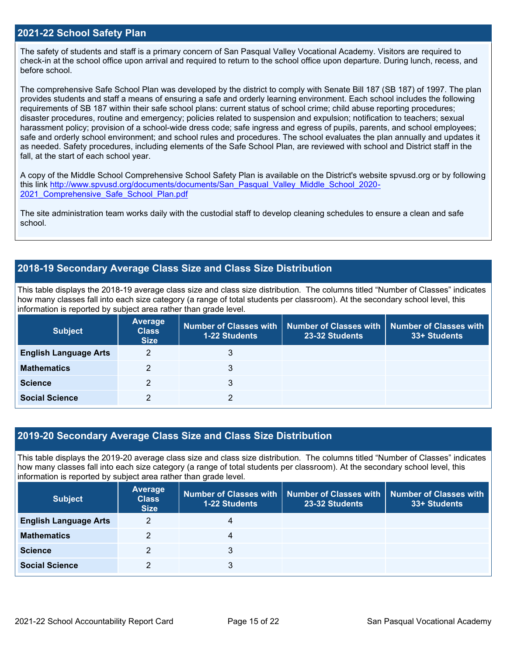#### **2021-22 School Safety Plan**

The safety of students and staff is a primary concern of San Pasqual Valley Vocational Academy. Visitors are required to check-in at the school office upon arrival and required to return to the school office upon departure. During lunch, recess, and before school.

The comprehensive Safe School Plan was developed by the district to comply with Senate Bill 187 (SB 187) of 1997. The plan provides students and staff a means of ensuring a safe and orderly learning environment. Each school includes the following requirements of SB 187 within their safe school plans: current status of school crime; child abuse reporting procedures; disaster procedures, routine and emergency; policies related to suspension and expulsion; notification to teachers; sexual harassment policy; provision of a school-wide dress code; safe ingress and egress of pupils, parents, and school employees; safe and orderly school environment; and school rules and procedures. The school evaluates the plan annually and updates it as needed. Safety procedures, including elements of the Safe School Plan, are reviewed with school and District staff in the fall, at the start of each school year.

A copy of the Middle School Comprehensive School Safety Plan is available on the District's website spvusd.org or by following this link [http://www.spvusd.org/documents/documents/San\\_Pasqual\\_Valley\\_Middle\\_School\\_2020-](http://www.spvusd.org/documents/documents/San_Pasqual_Valley_Middle_School_2020-2021_Comprehensive_Safe_School_Plan.pdf) 2021 Comprehensive Safe School Plan.pdf

The site administration team works daily with the custodial staff to develop cleaning schedules to ensure a clean and safe school.

#### **2018-19 Secondary Average Class Size and Class Size Distribution**

This table displays the 2018-19 average class size and class size distribution. The columns titled "Number of Classes" indicates how many classes fall into each size category (a range of total students per classroom). At the secondary school level, this information is reported by subject area rather than grade level.

| <b>Subject</b>               | Average<br><b>Class</b><br><b>Size</b> | <b>1-22 Students</b> | Number of Classes with   Number of Classes with  <br>23-32 Students | <b>Number of Classes with</b><br>33+ Students |
|------------------------------|----------------------------------------|----------------------|---------------------------------------------------------------------|-----------------------------------------------|
| <b>English Language Arts</b> | 2                                      | 3                    |                                                                     |                                               |
| <b>Mathematics</b>           |                                        | 3                    |                                                                     |                                               |
| <b>Science</b>               |                                        | 3                    |                                                                     |                                               |
| <b>Social Science</b>        |                                        |                      |                                                                     |                                               |

#### **2019-20 Secondary Average Class Size and Class Size Distribution**

This table displays the 2019-20 average class size and class size distribution. The columns titled "Number of Classes" indicates how many classes fall into each size category (a range of total students per classroom). At the secondary school level, this information is reported by subject area rather than grade level.

| <b>Subject</b>               | <b>Average</b><br><b>Class</b><br><b>Size</b> | 1-22 Students | Number of Classes with   Number of Classes with  <br>23-32 Students | Number of Classes with<br>33+ Students |
|------------------------------|-----------------------------------------------|---------------|---------------------------------------------------------------------|----------------------------------------|
| <b>English Language Arts</b> | 2                                             | 4             |                                                                     |                                        |
| <b>Mathematics</b>           | 2                                             | 4             |                                                                     |                                        |
| <b>Science</b>               | 2                                             | 3             |                                                                     |                                        |
| <b>Social Science</b>        | 2                                             |               |                                                                     |                                        |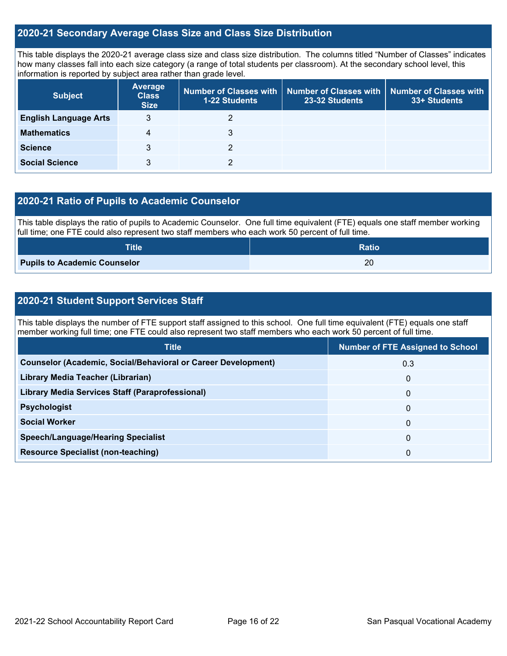#### **2020-21 Secondary Average Class Size and Class Size Distribution**

This table displays the 2020-21 average class size and class size distribution. The columns titled "Number of Classes" indicates how many classes fall into each size category (a range of total students per classroom). At the secondary school level, this information is reported by subject area rather than grade level.

| <b>Subject</b>               | <b>Average</b><br><b>Class</b><br><b>Size</b> | 1-22 Students | Number of Classes with Number of Classes with<br>23-32 Students | <b>Number of Classes with</b><br>33+ Students |
|------------------------------|-----------------------------------------------|---------------|-----------------------------------------------------------------|-----------------------------------------------|
| <b>English Language Arts</b> | 3                                             |               |                                                                 |                                               |
| <b>Mathematics</b>           | 4                                             | 3             |                                                                 |                                               |
| <b>Science</b>               | 3                                             |               |                                                                 |                                               |
| <b>Social Science</b>        | 3                                             |               |                                                                 |                                               |

#### **2020-21 Ratio of Pupils to Academic Counselor**

This table displays the ratio of pupils to Academic Counselor. One full time equivalent (FTE) equals one staff member working full time; one FTE could also represent two staff members who each work 50 percent of full time.

| <b>Title</b>                        | <b>Ratio</b> |
|-------------------------------------|--------------|
| <b>Pupils to Academic Counselor</b> | 20           |

### **2020-21 Student Support Services Staff**

This table displays the number of FTE support staff assigned to this school. One full time equivalent (FTE) equals one staff member working full time; one FTE could also represent two staff members who each work 50 percent of full time.

| <b>Title</b>                                                         | <b>Number of FTE Assigned to School</b> |
|----------------------------------------------------------------------|-----------------------------------------|
| <b>Counselor (Academic, Social/Behavioral or Career Development)</b> | 0.3                                     |
| Library Media Teacher (Librarian)                                    | 0                                       |
| Library Media Services Staff (Paraprofessional)                      | 0                                       |
| <b>Psychologist</b>                                                  | 0                                       |
| <b>Social Worker</b>                                                 | 0                                       |
| <b>Speech/Language/Hearing Specialist</b>                            | 0                                       |
| <b>Resource Specialist (non-teaching)</b>                            | 0                                       |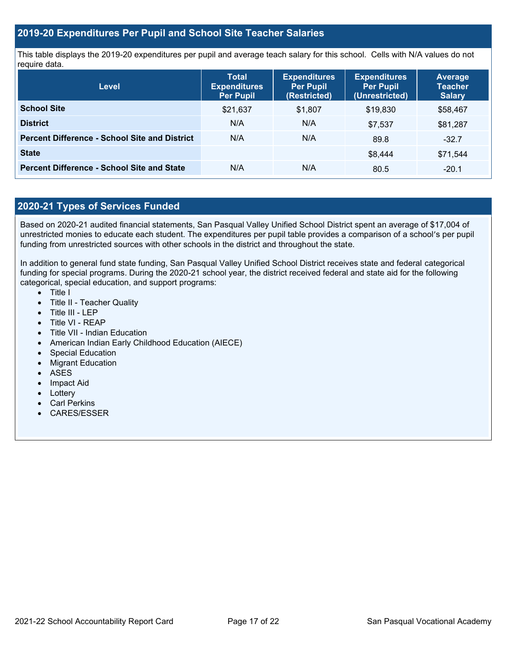#### **2019-20 Expenditures Per Pupil and School Site Teacher Salaries**

This table displays the 2019-20 expenditures per pupil and average teach salary for this school. Cells with N/A values do not require data.

| <b>Level</b>                                         | <b>Total</b><br><b>Expenditures</b><br><b>Per Pupil</b> | <b>Expenditures</b><br><b>Per Pupil</b><br>(Restricted) | <b>Expenditures</b><br><b>Per Pupil</b><br>(Unrestricted) | <b>Average</b><br><b>Teacher</b><br><b>Salary</b> |
|------------------------------------------------------|---------------------------------------------------------|---------------------------------------------------------|-----------------------------------------------------------|---------------------------------------------------|
| <b>School Site</b>                                   | \$21,637                                                | \$1,807                                                 | \$19,830                                                  | \$58,467                                          |
| <b>District</b>                                      | N/A                                                     | N/A                                                     | \$7.537                                                   | \$81,287                                          |
| <b>Percent Difference - School Site and District</b> | N/A                                                     | N/A                                                     | 89.8                                                      | $-32.7$                                           |
| <b>State</b>                                         |                                                         |                                                         | \$8,444                                                   | \$71,544                                          |
| <b>Percent Difference - School Site and State</b>    | N/A                                                     | N/A                                                     | 80.5                                                      | $-20.1$                                           |

### **2020-21 Types of Services Funded**

Based on 2020-21 audited financial statements, San Pasqual Valley Unified School District spent an average of \$17,004 of unrestricted monies to educate each student. The expenditures per pupil table provides a comparison of a school's per pupil funding from unrestricted sources with other schools in the district and throughout the state.

In addition to general fund state funding, San Pasqual Valley Unified School District receives state and federal categorical funding for special programs. During the 2020-21 school year, the district received federal and state aid for the following categorical, special education, and support programs:

- Title I
- Title II Teacher Quality
- Title III LEP
- Title VI REAP
- Title VII Indian Education
- American Indian Early Childhood Education (AIECE)
- Special Education
- Migrant Education
- ASES
- Impact Aid
- Lottery
- Carl Perkins
- CARES/ESSER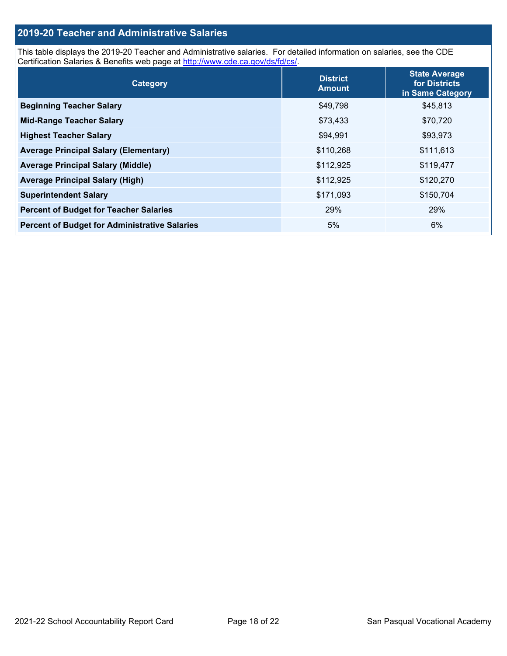#### **2019-20 Teacher and Administrative Salaries**

This table displays the 2019-20 Teacher and Administrative salaries. For detailed information on salaries, see the CDE Certification Salaries & Benefits web page at [http://www.cde.ca.gov/ds/fd/cs/.](http://www.cde.ca.gov/ds/fd/cs/)

| Category                                             | <b>District</b><br><b>Amount</b> | <b>State Average</b><br>for Districts<br>in Same Category |
|------------------------------------------------------|----------------------------------|-----------------------------------------------------------|
| <b>Beginning Teacher Salary</b>                      | \$49,798                         | \$45,813                                                  |
| <b>Mid-Range Teacher Salary</b>                      | \$73,433                         | \$70,720                                                  |
| <b>Highest Teacher Salary</b>                        | \$94,991                         | \$93,973                                                  |
| <b>Average Principal Salary (Elementary)</b>         | \$110,268                        | \$111,613                                                 |
| <b>Average Principal Salary (Middle)</b>             | \$112,925                        | \$119,477                                                 |
| <b>Average Principal Salary (High)</b>               | \$112,925                        | \$120,270                                                 |
| <b>Superintendent Salary</b>                         | \$171,093                        | \$150,704                                                 |
| <b>Percent of Budget for Teacher Salaries</b>        | 29%                              | 29%                                                       |
| <b>Percent of Budget for Administrative Salaries</b> | 5%                               | 6%                                                        |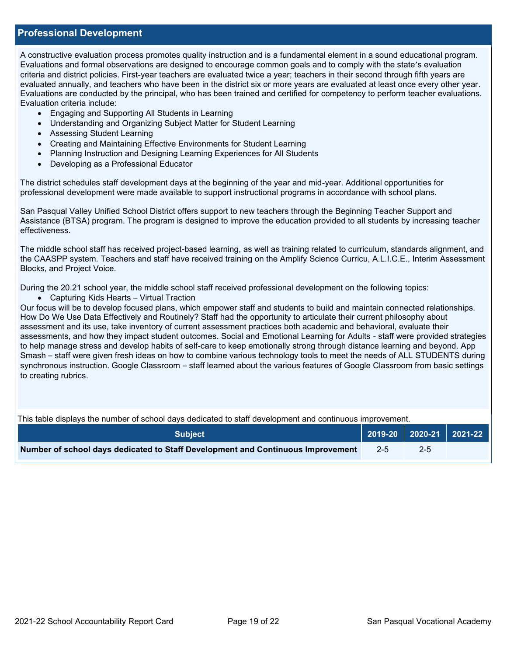#### **Professional Development**

A constructive evaluation process promotes quality instruction and is a fundamental element in a sound educational program. Evaluations and formal observations are designed to encourage common goals and to comply with the state's evaluation criteria and district policies. First-year teachers are evaluated twice a year; teachers in their second through fifth years are evaluated annually, and teachers who have been in the district six or more years are evaluated at least once every other year. Evaluations are conducted by the principal, who has been trained and certified for competency to perform teacher evaluations. Evaluation criteria include:

- Engaging and Supporting All Students in Learning
- Understanding and Organizing Subject Matter for Student Learning
- Assessing Student Learning
- Creating and Maintaining Effective Environments for Student Learning
- Planning Instruction and Designing Learning Experiences for All Students
- Developing as a Professional Educator

The district schedules staff development days at the beginning of the year and mid-year. Additional opportunities for professional development were made available to support instructional programs in accordance with school plans.

San Pasqual Valley Unified School District offers support to new teachers through the Beginning Teacher Support and Assistance (BTSA) program. The program is designed to improve the education provided to all students by increasing teacher effectiveness.

The middle school staff has received project-based learning, as well as training related to curriculum, standards alignment, and the CAASPP system. Teachers and staff have received training on the Amplify Science Curricu, A.L.I.C.E., Interim Assessment Blocks, and Project Voice.

During the 20.21 school year, the middle school staff received professional development on the following topics:

• Capturing Kids Hearts – Virtual Traction

Our focus will be to develop focused plans, which empower staff and students to build and maintain connected relationships. How Do We Use Data Effectively and Routinely? Staff had the opportunity to articulate their current philosophy about assessment and its use, take inventory of current assessment practices both academic and behavioral, evaluate their assessments, and how they impact student outcomes. Social and Emotional Learning for Adults - staff were provided strategies to help manage stress and develop habits of self-care to keep emotionally strong through distance learning and beyond. App Smash – staff were given fresh ideas on how to combine various technology tools to meet the needs of ALL STUDENTS during synchronous instruction. Google Classroom – staff learned about the various features of Google Classroom from basic settings to creating rubrics.

This table displays the number of school days dedicated to staff development and continuous improvement.

| <b>Subject</b>                                                                  |         |         | 2019-20   2020-21   2021-22 |
|---------------------------------------------------------------------------------|---------|---------|-----------------------------|
| Number of school days dedicated to Staff Development and Continuous Improvement | $2 - 5$ | $2 - 5$ |                             |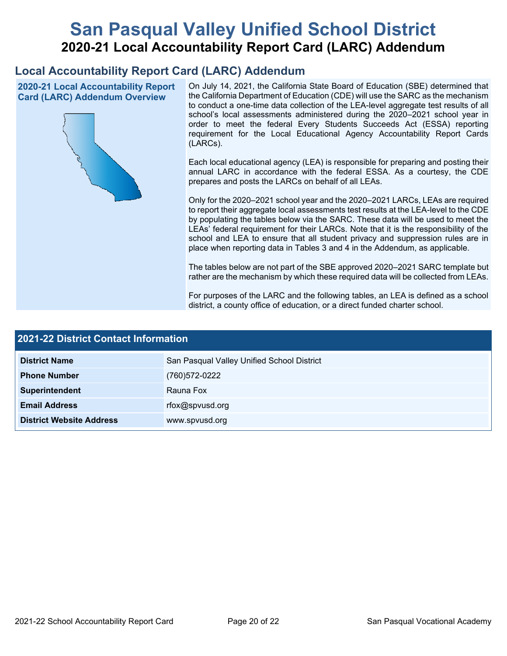# **San Pasqual Valley Unified School District 2020-21 Local Accountability Report Card (LARC) Addendum**

## **Local Accountability Report Card (LARC) Addendum**

**2020-21 Local Accountability Report Card (LARC) Addendum Overview**



On July 14, 2021, the California State Board of Education (SBE) determined that the California Department of Education (CDE) will use the SARC as the mechanism to conduct a one-time data collection of the LEA-level aggregate test results of all school's local assessments administered during the 2020–2021 school year in order to meet the federal Every Students Succeeds Act (ESSA) reporting requirement for the Local Educational Agency Accountability Report Cards (LARCs).

Each local educational agency (LEA) is responsible for preparing and posting their annual LARC in accordance with the federal ESSA. As a courtesy, the CDE prepares and posts the LARCs on behalf of all LEAs.

Only for the 2020–2021 school year and the 2020–2021 LARCs, LEAs are required to report their aggregate local assessments test results at the LEA-level to the CDE by populating the tables below via the SARC. These data will be used to meet the LEAs' federal requirement for their LARCs. Note that it is the responsibility of the school and LEA to ensure that all student privacy and suppression rules are in place when reporting data in Tables 3 and 4 in the Addendum, as applicable.

The tables below are not part of the SBE approved 2020–2021 SARC template but rather are the mechanism by which these required data will be collected from LEAs.

For purposes of the LARC and the following tables, an LEA is defined as a school district, a county office of education, or a direct funded charter school.

| <b>2021-22 District Contact Information</b> |                                            |  |  |  |
|---------------------------------------------|--------------------------------------------|--|--|--|
| <b>District Name</b>                        | San Pasqual Valley Unified School District |  |  |  |
| <b>Phone Number</b>                         | (760) 572-0222                             |  |  |  |
| Superintendent                              | Rauna Fox                                  |  |  |  |
| <b>Email Address</b>                        | rfox@spvusd.org                            |  |  |  |
| <b>District Website Address</b>             | www.spvusd.org                             |  |  |  |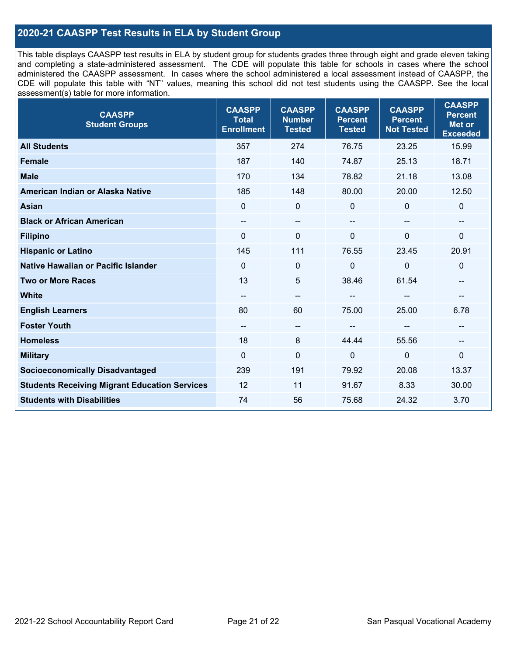### **2020-21 CAASPP Test Results in ELA by Student Group**

This table displays CAASPP test results in ELA by student group for students grades three through eight and grade eleven taking and completing a state-administered assessment. The CDE will populate this table for schools in cases where the school administered the CAASPP assessment. In cases where the school administered a local assessment instead of CAASPP, the CDE will populate this table with "NT" values, meaning this school did not test students using the CAASPP. See the local assessment(s) table for more information.

| <b>CAASPP</b><br><b>Total</b><br><b>Enrollment</b> | <b>CAASPP</b><br><b>Number</b><br><b>Tested</b> | <b>CAASPP</b><br><b>Percent</b><br><b>Tested</b> | <b>CAASPP</b><br><b>Percent</b><br><b>Not Tested</b> | <b>CAASPP</b><br><b>Percent</b><br>Met or<br><b>Exceeded</b> |
|----------------------------------------------------|-------------------------------------------------|--------------------------------------------------|------------------------------------------------------|--------------------------------------------------------------|
| 357                                                | 274                                             | 76.75                                            | 23.25                                                | 15.99                                                        |
| 187                                                | 140                                             | 74.87                                            | 25.13                                                | 18.71                                                        |
| 170                                                | 134                                             | 78.82                                            | 21.18                                                | 13.08                                                        |
| 185                                                | 148                                             | 80.00                                            | 20.00                                                | 12.50                                                        |
| $\mathbf 0$                                        | $\pmb{0}$                                       | $\mathbf 0$                                      | $\Omega$                                             | 0                                                            |
| --                                                 | $\overline{\phantom{m}}$                        | --                                               | $\overline{\phantom{a}}$                             | --                                                           |
| $\Omega$                                           | $\mathbf 0$                                     | $\Omega$                                         | $\overline{0}$                                       | 0                                                            |
| 145                                                | 111                                             | 76.55                                            | 23.45                                                | 20.91                                                        |
| $\mathbf 0$                                        | $\pmb{0}$                                       | 0                                                | $\overline{0}$                                       | 0                                                            |
| 13                                                 | 5                                               | 38.46                                            | 61.54                                                | --                                                           |
| $\qquad \qquad -$                                  | $\overline{\phantom{m}}$                        |                                                  | --                                                   | --                                                           |
| 80                                                 | 60                                              | 75.00                                            | 25.00                                                | 6.78                                                         |
| --                                                 | $\overline{\phantom{a}}$                        |                                                  | --                                                   | --                                                           |
| 18                                                 | 8                                               | 44.44                                            | 55.56                                                | --                                                           |
| $\mathbf 0$                                        | $\mathbf 0$                                     | $\mathbf 0$                                      | $\mathbf 0$                                          | $\mathbf 0$                                                  |
| 239                                                | 191                                             | 79.92                                            | 20.08                                                | 13.37                                                        |
| 12                                                 | 11                                              | 91.67                                            | 8.33                                                 | 30.00                                                        |
| 74                                                 | 56                                              | 75.68                                            | 24.32                                                | 3.70                                                         |
|                                                    |                                                 |                                                  |                                                      |                                                              |